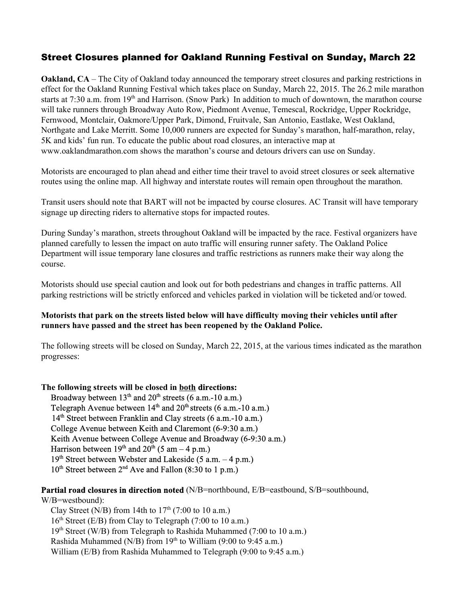## Street Closures planned for Oakland Running Festival on Sunday, March 22

**Oakland, CA** – The City of Oakland today announced the temporary street closures and parking restrictions in effect for the Oakland Running Festival which takes place on Sunday, March 22, 2015. The 26.2 mile marathon starts at 7:30 a.m. from  $19<sup>th</sup>$  and Harrison. (Snow Park) In addition to much of downtown, the marathon course will take runners through Broadway Auto Row, Piedmont Avenue, Temescal, Rockridge, Upper Rockridge, Fernwood, Montclair, Oakmore/Upper Park, Dimond, Fruitvale, San Antonio, Eastlake, West Oakland, Northgate and Lake Merritt. Some 10,000 runners are expected for Sunday's marathon, half-marathon, relay, 5K and kids' fun run. To educate the public about road closures, an interactive map at www.oaklandmarathon.com shows the marathon's course and detours drivers can use on Sunday.

Motorists are encouraged to plan ahead and either time their travel to avoid street closures or seek alternative routes using the online map. All highway and interstate routes will remain open throughout the marathon.

Transit users should note that BART will not be impacted by course closures. AC Transit will have temporary signage up directing riders to alternative stops for impacted routes.

During Sunday's marathon, streets throughout Oakland will be impacted by the race. Festival organizers have planned carefully to lessen the impact on auto traffic will ensuring runner safety. The Oakland Police Department will issue temporary lane closures and traffic restrictions as runners make their way along the course.

Motorists should use special caution and look out for both pedestrians and changes in traffic patterns. All parking restrictions will be strictly enforced and vehicles parked in violation will be ticketed and/or towed.

## **Motorists that park on the streets listed below will have difficulty moving their vehicles until after runners have passed and the street has been reopened by the Oakland Police.**

The following streets will be closed on Sunday, March 22, 2015, at the various times indicated as the marathon progresses:

**The following streets will be closed in bothdirections:**

Broadway between  $13<sup>th</sup>$  and  $20<sup>th</sup>$  streets (6 a.m.-10 a.m.) Telegraph Avenue between  $14<sup>th</sup>$  and  $20<sup>th</sup>$  streets (6 a.m.-10 a.m.) 14<sup>th</sup> Street between Franklin and Clay streets (6 a.m.-10 a.m.) College Avenue between Keith and Claremont (6-9:30 a.m.) Keith Avenue between College Avenue and Broadway (6-9:30 a.m.) Harrison between  $19<sup>th</sup>$  and  $20<sup>th</sup>$  (5 am – 4 p.m.) 19<sup>th</sup> Street between Webster and Lakeside (5 a.m. - 4 p.m.) 10<sup>th</sup> Street between 2<sup>nd</sup> Ave and Fallon (8:30 to 1 p.m.)

**Partial road closures in direction noted**(N/B=northbound, E/B=eastbound, S/B=southbound,

W/B=westbound): Clay Street (N/B) from 14th to  $17<sup>th</sup>$  (7:00 to 10 a.m.) 16<sup>th</sup> Street (E/B) from Clay to Telegraph (7:00 to 10 a.m.) 19<sup>th</sup> Street (W/B) from Telegraph to Rashida Muhammed (7:00 to 10 a.m.) Rashida Muhammed (N/B) from  $19<sup>th</sup>$  to William (9:00 to 9:45 a.m.) William (E/B) from Rashida Muhammed to Telegraph (9:00 to 9:45 a.m.)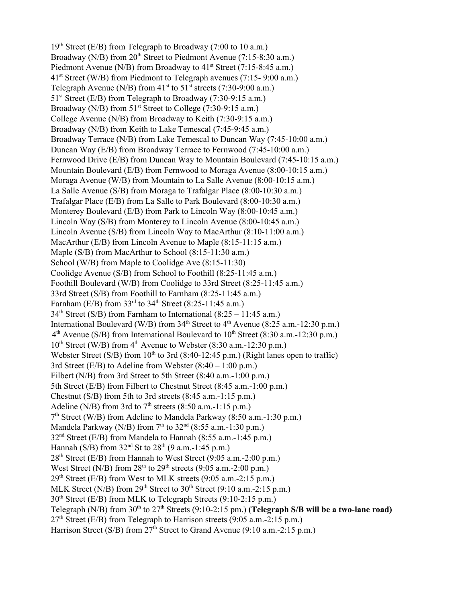19<sup>th</sup> Street (E/B) from Telegraph to Broadway (7:00 to 10 a.m.) Broadway ( $N/B$ ) from  $20<sup>th</sup>$  Street to Piedmont Avenue (7:15-8:30 a.m.) Piedmont Avenue (N/B) from Broadway to  $41<sup>st</sup>$  Street (7:15-8:45 a.m.) 41<sup>st</sup> Street (W/B) from Piedmont to Telegraph avenues (7:15-9:00 a.m.) Telegraph Avenue (N/B) from  $41<sup>st</sup>$  to  $51<sup>st</sup>$  streets (7:30-9:00 a.m.) 51<sup>st</sup> Street (E/B) from Telegraph to Broadway (7:30-9:15 a.m.) Broadway (N/B) from  $51<sup>st</sup>$  Street to College (7:30-9:15 a.m.) College Avenue (N/B) from Broadway to Keith  $(7:30-9:15$  a.m.) Broadway (N/B) from Keith to Lake Temescal (7:45-9:45 a.m.) Broadway Terrace (N/B) from Lake Temescal to Duncan Way (7:45-10:00 a.m.) Duncan Way (E/B) from Broadway Terrace to Fernwood (7:45-10:00 a.m.) Fernwood Drive (E/B) from Duncan Way to Mountain Boulevard (7:45-10:15 a.m.) Mountain Boulevard ( $E/B$ ) from Fernwood to Moraga Avenue ( $8:00-10:15$  a.m.) Moraga Avenue (W/B) from Mountain to La Salle Avenue  $(8:00-10:15$  a.m.) La Salle Avenue (S/B) from Moraga to Trafalgar Place  $(8:00-10:30 \text{ a.m.})$ Trafalgar Place (E/B) from La Salle to Park Boulevard (8:00-10:30 a.m.) Monterey Boulevard (E/B) from Park to Lincoln Way  $(8:00-10:45 \text{ a.m.})$ Lincoln Way (S/B) from Monterey to Lincoln Avenue  $(8:00-10:45$  a.m.) Lincoln Avenue (S/B) from Lincoln Way to MacArthur  $(8:10-11:00 \text{ a.m.})$ MacArthur (E/B) from Lincoln Avenue to Maple  $(8:15-11:15 \text{ a.m.})$ Maple (S/B) from MacArthur to School  $(8:15-11:30 \text{ a.m.})$ School (W/B) from Maple to Coolidge Ave  $(8:15-11:30)$ Coolidge Avenue (S/B) from School to Foothill (8:25-11:45 a.m.) Foothill Boulevard (W/B) from Coolidge to 33rd Street (8:25-11:45 a.m.) 33rd Street (S/B) from Foothill to Farnham (8:25-11:45 a.m.) Farnham (E/B) from  $33<sup>rd</sup>$  to  $34<sup>th</sup>$  Street (8:25-11:45 a.m.)  $34<sup>th</sup> Street (S/B) from Farnham to International (8:25 – 11:45 a.m.)$ International Boulevard (W/B) from  $34<sup>th</sup>$  Street to  $4<sup>th</sup>$  Avenue (8:25 a.m.-12:30 p.m.)  $4<sup>th</sup>$  Avenue (S/B) from International Boulevard to  $10<sup>th</sup>$  Street (8:30 a.m.-12:30 p.m.) 10<sup>th</sup> Street (W/B) from 4<sup>th</sup> Avenue to Webster (8:30 a.m.-12:30 p.m.) Webster Street (S/B) from  $10<sup>th</sup>$  to 3rd (8:40-12:45 p.m.) (Right lanes open to traffic) 3rd Street (E/B) to Adeline from Webster  $(8:40 - 1:00 \text{ p.m.})$ Filbert (N/B) from 3rd Street to 5th Street (8:40 a.m. -1:00 p.m.) 5th Street (E/B) from Filbert to Chestnut Street (8:45 a.m.1:00 p.m.) Chestnut  $(S/B)$  from 5th to 3rd streets  $(8:45 a.m.-1:15 p.m.)$ Adeline (N/B) from 3rd to  $7<sup>th</sup>$  streets (8:50 a.m.-1:15 p.m.) 7<sup>th</sup> Street (W/B) from Adeline to Mandela Parkway (8:50 a.m.-1:30 p.m.) Mandela Parkway (N/B) from  $7<sup>th</sup>$  to  $32<sup>nd</sup>$  (8:55 a.m.-1:30 p.m.) 32<sup>nd</sup> Street (E/B) from Mandela to Hannah (8:55 a.m.-1:45 p.m.) Hannah (S/B) from  $32<sup>nd</sup>$  St to  $28<sup>th</sup>$  (9 a.m.-1:45 p.m.) 28<sup>th</sup> Street (E/B) from Hannah to West Street (9:05 a.m.-2:00 p.m.) West Street (N/B) from  $28<sup>th</sup>$  to  $29<sup>th</sup>$  streets (9:05 a.m.-2:00 p.m.)  $29<sup>th</sup> Street (E/B) from West to MLK streets (9:05 a.m.-2:15 p.m.)$ MLK Street (N/B) from  $29<sup>th</sup>$  Street to  $30<sup>th</sup>$  Street (9:10 a.m.-2:15 p.m.) 30<sup>th</sup> Street (E/B) from MLK to Telegraph Streets (9:10-2:15 p.m.) Telegraph (N/B) from 30<sup>th</sup> to 27<sup>th</sup> Streets (9:10-2:15 pm.) **(Telegraph S/B will be a two-lane road)** 27<sup>th</sup> Street (E/B) from Telegraph to Harrison streets (9:05 a.m.-2:15 p.m.) Harrison Street (S/B) from 27<sup>th</sup> Street to Grand Avenue (9:10 a.m.-2:15 p.m.)